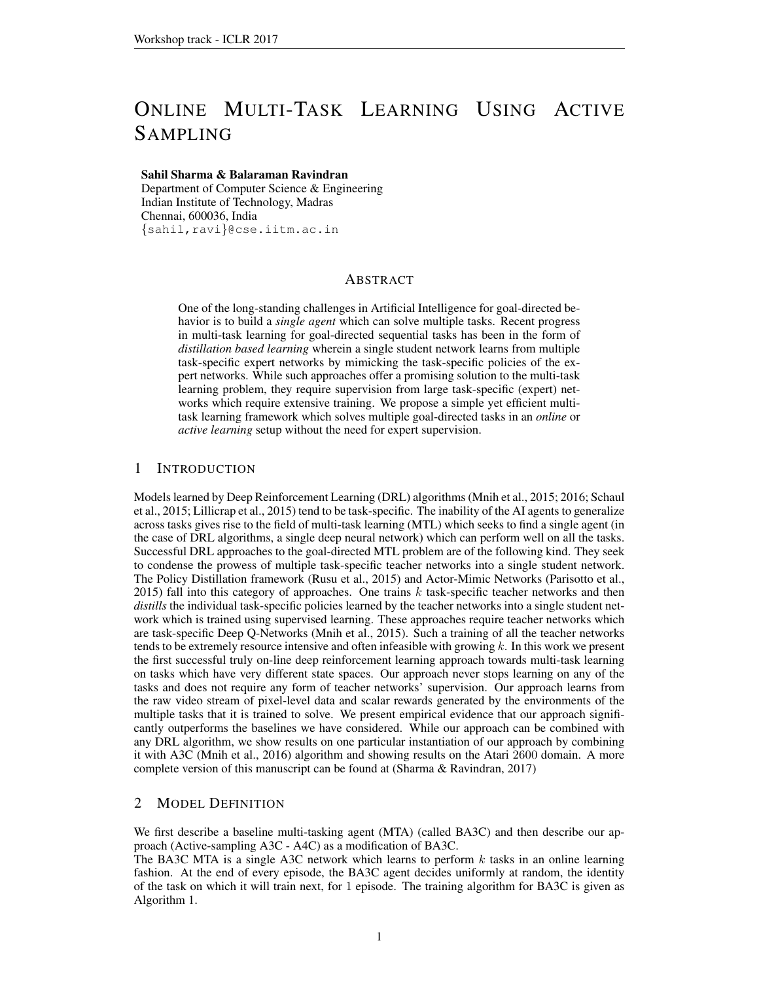# ONLINE MULTI-TASK LEARNING USING ACTIVE SAMPLING

#### Sahil Sharma & Balaraman Ravindran

Department of Computer Science & Engineering Indian Institute of Technology, Madras Chennai, 600036, India {sahil,ravi}@cse.iitm.ac.in

# ABSTRACT

One of the long-standing challenges in Artificial Intelligence for goal-directed behavior is to build a *single agent* which can solve multiple tasks. Recent progress in multi-task learning for goal-directed sequential tasks has been in the form of *distillation based learning* wherein a single student network learns from multiple task-specific expert networks by mimicking the task-specific policies of the expert networks. While such approaches offer a promising solution to the multi-task learning problem, they require supervision from large task-specific (expert) networks which require extensive training. We propose a simple yet efficient multitask learning framework which solves multiple goal-directed tasks in an *online* or *active learning* setup without the need for expert supervision.

## 1 INTRODUCTION

Models learned by Deep Reinforcement Learning (DRL) algorithms [\(Mnih et al., 2015;](#page-3-0) [2016;](#page-3-1) [Schaul](#page-3-2) [et al., 2015;](#page-3-2) [Lillicrap et al., 2015\)](#page-3-3) tend to be task-specific. The inability of the AI agents to generalize across tasks gives rise to the field of multi-task learning (MTL) which seeks to find a single agent (in the case of DRL algorithms, a single deep neural network) which can perform well on all the tasks. Successful DRL approaches to the goal-directed MTL problem are of the following kind. They seek to condense the prowess of multiple task-specific teacher networks into a single student network. The Policy Distillation framework [\(Rusu et al., 2015\)](#page-3-4) and Actor-Mimic Networks [\(Parisotto et al.,](#page-3-5) [2015\)](#page-3-5) fall into this category of approaches. One trains  $k$  task-specific teacher networks and then *distills* the individual task-specific policies learned by the teacher networks into a single student network which is trained using supervised learning. These approaches require teacher networks which are task-specific Deep Q-Networks [\(Mnih et al., 2015\)](#page-3-0). Such a training of all the teacher networks tends to be extremely resource intensive and often infeasible with growing  $k$ . In this work we present the first successful truly on-line deep reinforcement learning approach towards multi-task learning on tasks which have very different state spaces. Our approach never stops learning on any of the tasks and does not require any form of teacher networks' supervision. Our approach learns from the raw video stream of pixel-level data and scalar rewards generated by the environments of the multiple tasks that it is trained to solve. We present empirical evidence that our approach significantly outperforms the baselines we have considered. While our approach can be combined with any DRL algorithm, we show results on one particular instantiation of our approach by combining it with A3C [\(Mnih et al., 2016\)](#page-3-1) algorithm and showing results on the Atari 2600 domain. A more complete version of this manuscript can be found at [\(Sharma & Ravindran, 2017\)](#page-3-6)

# 2 MODEL DEFINITION

We first describe a baseline multi-tasking agent (MTA) (called BA3C) and then describe our approach (Active-sampling A3C - A4C) as a modification of BA3C.

The BA3C MTA is a single A3C network which learns to perform  $k$  tasks in an online learning fashion. At the end of every episode, the BA3C agent decides uniformly at random, the identity of the task on which it will train next, for 1 episode. The training algorithm for BA3C is given as Algorithm [1.](#page-1-0)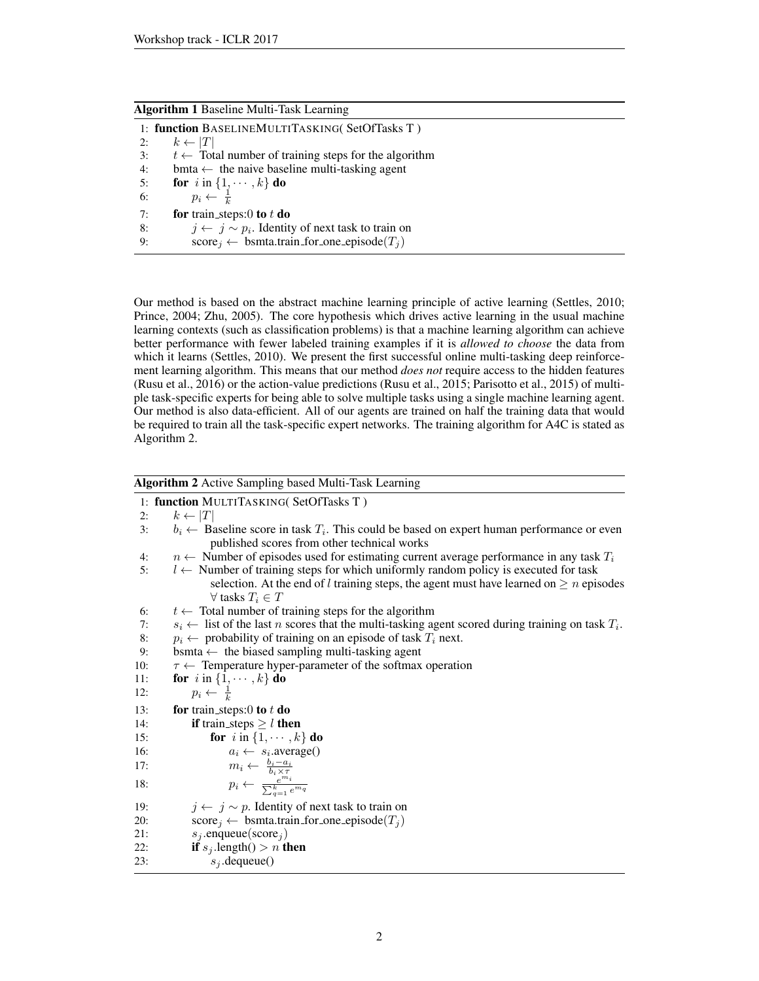<span id="page-1-0"></span>

| <b>Algorithm 1 Baseline Multi-Task Learning</b> |  |  |  |
|-------------------------------------------------|--|--|--|
|                                                 |  |  |  |

|    | 1: function BASELINEMULTITASKING(SetOfTasks T)                  |
|----|-----------------------------------------------------------------|
| 2: | $k \leftarrow  T $                                              |
| 3: | $t \leftarrow$ Total number of training steps for the algorithm |
| 4: | bmta $\leftarrow$ the naive baseline multi-tasking agent        |
| 5: | for $i$ in $\{1, \dots, k\}$ do                                 |
| 6: | $p_i \leftarrow \frac{1}{k}$                                    |
| 7: | for train_steps:0 to $t$ do                                     |
| 8: | $j \leftarrow j \sim p_i$ . Identity of next task to train on   |
| 9: | $score_i \leftarrow$ bsmta.train_for_one_episode( $T_i$ )       |

Our method is based on the abstract machine learning principle of active learning [\(Settles, 2010;](#page-3-7) [Prince, 2004;](#page-3-8) [Zhu, 2005\)](#page-3-9). The core hypothesis which drives active learning in the usual machine learning contexts (such as classification problems) is that a machine learning algorithm can achieve better performance with fewer labeled training examples if it is *allowed to choose* the data from which it learns [\(Settles, 2010\)](#page-3-7). We present the first successful online multi-tasking deep reinforcement learning algorithm. This means that our method *does not* require access to the hidden features [\(Rusu et al., 2016\)](#page-3-10) or the action-value predictions [\(Rusu et al., 2015;](#page-3-4) [Parisotto et al., 2015\)](#page-3-5) of multiple task-specific experts for being able to solve multiple tasks using a single machine learning agent. Our method is also data-efficient. All of our agents are trained on half the training data that would be required to train all the task-specific expert networks. The training algorithm for A4C is stated as Algorithm [2.](#page-1-1)

<span id="page-1-1"></span>

| Algorithm 2 Active Sampling based Multi-Task Learning |  |  |
|-------------------------------------------------------|--|--|
|                                                       |  |  |

|     | $\mathbf{r}$ $\mathbf{r}$ $\mathbf{r}$ $\mathbf{r}$ $\mathbf{r}$ $\mathbf{r}$ $\mathbf{r}$ $\mathbf{r}$ $\mathbf{r}$ $\mathbf{r}$ $\mathbf{r}$ $\mathbf{r}$ $\mathbf{r}$ $\mathbf{r}$ $\mathbf{r}$ $\mathbf{r}$ $\mathbf{r}$ $\mathbf{r}$ $\mathbf{r}$ $\mathbf{r}$ $\mathbf{r}$ $\mathbf{r}$ $\mathbf{r}$ $\mathbf{r}$ $\mathbf{$ |
|-----|------------------------------------------------------------------------------------------------------------------------------------------------------------------------------------------------------------------------------------------------------------------------------------------------------------------------------------|
|     | 1: function MULTITASKING(SetOfTasks T)                                                                                                                                                                                                                                                                                             |
| 2:  | $k \leftarrow  T $                                                                                                                                                                                                                                                                                                                 |
| 3:  | $b_i \leftarrow$ Baseline score in task $T_i$ . This could be based on expert human performance or even                                                                                                                                                                                                                            |
|     | published scores from other technical works                                                                                                                                                                                                                                                                                        |
| 4:  | $n \leftarrow$ Number of episodes used for estimating current average performance in any task $T_i$                                                                                                                                                                                                                                |
| 5:  | $l \leftarrow$ Number of training steps for which uniformly random policy is executed for task                                                                                                                                                                                                                                     |
|     | selection. At the end of l training steps, the agent must have learned on $\geq n$ episodes<br>$\forall$ tasks $T_i \in T$                                                                                                                                                                                                         |
| 6:  | $t \leftarrow$ Total number of training steps for the algorithm                                                                                                                                                                                                                                                                    |
| 7:  | $s_i \leftarrow$ list of the last <i>n</i> scores that the multi-tasking agent scored during training on task $T_i$ .                                                                                                                                                                                                              |
| 8:  | $p_i \leftarrow$ probability of training on an episode of task $T_i$ next.                                                                                                                                                                                                                                                         |
| 9:  | bsmta $\leftarrow$ the biased sampling multi-tasking agent                                                                                                                                                                                                                                                                         |
| 10: | $\tau \leftarrow$ Temperature hyper-parameter of the softmax operation                                                                                                                                                                                                                                                             |
| 11: | for $i$ in $\{1, \dots, k\}$ do                                                                                                                                                                                                                                                                                                    |
| 12: | $p_i \leftarrow \frac{1}{k}$                                                                                                                                                                                                                                                                                                       |
| 13: | for train_steps:0 to $t$ do                                                                                                                                                                                                                                                                                                        |
| 14: | <b>if</b> train_steps $\geq$ <i>l</i> then                                                                                                                                                                                                                                                                                         |
| 15: | for i in $\{1, \cdots, k\}$ do                                                                                                                                                                                                                                                                                                     |
| 16: | $a_i \leftarrow s_i$ . average()                                                                                                                                                                                                                                                                                                   |
| 17: |                                                                                                                                                                                                                                                                                                                                    |
| 18: | $\begin{array}{rcl} m_i \leftarrow & \frac{b_i - a_i}{b_i \times \tau} \\ p_i \leftarrow & \frac{e^{m_i}}{\sum_{a=1}^k e^{m_q}} \end{array}$                                                                                                                                                                                       |
| 19: | $j \leftarrow j \sim p$ . Identity of next task to train on                                                                                                                                                                                                                                                                        |
| 20: | $\text{score}_j \leftarrow \text{bsmta.train_for-one_episode}(T_j)$                                                                                                                                                                                                                                                                |
| 21: | $s_i$ .enqueue(score <sub>i</sub> )                                                                                                                                                                                                                                                                                                |
| 22: | <b>if</b> $s_j$ length() > <i>n</i> <b>then</b>                                                                                                                                                                                                                                                                                    |
| 23: | $s_i$ .dequeue $()$                                                                                                                                                                                                                                                                                                                |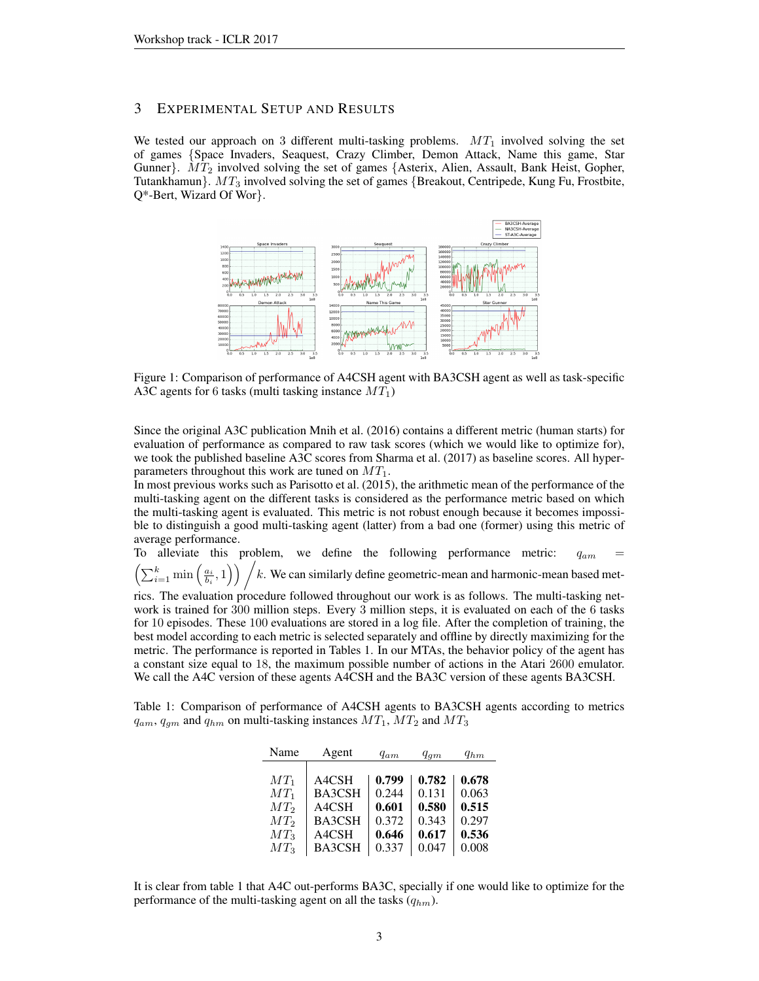### 3 EXPERIMENTAL SETUP AND RESULTS

We tested our approach on 3 different multi-tasking problems.  $MT_1$  involved solving the set of games {Space Invaders, Seaquest, Crazy Climber, Demon Attack, Name this game, Star Gunner}.  $MT_2$  involved solving the set of games {Asterix, Alien, Assault, Bank Heist, Gopher, Tutankhamun}.  $MT_3$  involved solving the set of games {Breakout, Centripede, Kung Fu, Frostbite, Q\*-Bert, Wizard Of Wor}.



Figure 1: Comparison of performance of A4CSH agent with BA3CSH agent as well as task-specific A3C agents for 6 tasks (multi tasking instance  $MT_1$ )

Since the original A3C publication [Mnih et al.](#page-3-1) [\(2016\)](#page-3-1) contains a different metric (human starts) for evaluation of performance as compared to raw task scores (which we would like to optimize for), we took the published baseline A3C scores from [Sharma et al.](#page-3-11) [\(2017\)](#page-3-11) as baseline scores. All hyperparameters throughout this work are tuned on  $MT_1$ .

In most previous works such as [Parisotto et al.](#page-3-5) [\(2015\)](#page-3-5), the arithmetic mean of the performance of the multi-tasking agent on the different tasks is considered as the performance metric based on which the multi-tasking agent is evaluated. This metric is not robust enough because it becomes impossible to distinguish a good multi-tasking agent (latter) from a bad one (former) using this metric of average performance.

To alleviate this problem, we define the following performance metric:  $q_{am}$  =  $\left(\sum_{i=1}^k \min\left(\frac{a_i}{b_i},1\right)\right)$   $\neq$  k. We can similarly define geometric-mean and harmonic-mean based met-

rics. The evaluation procedure followed throughout our work is as follows. The multi-tasking network is trained for 300 million steps. Every 3 million steps, it is evaluated on each of the 6 tasks for 10 episodes. These 100 evaluations are stored in a log file. After the completion of training, the best model according to each metric is selected separately and offline by directly maximizing for the metric. The performance is reported in Tables [1.](#page-2-0) In our MTAs, the behavior policy of the agent has a constant size equal to 18, the maximum possible number of actions in the Atari 2600 emulator. We call the A4C version of these agents A4CSH and the BA3C version of these agents BA3CSH.

<span id="page-2-0"></span>Table 1: Comparison of performance of A4CSH agents to BA3CSH agents according to metrics  $q_{am}$ ,  $q_{gm}$  and  $q_{hm}$  on multi-tasking instances  $MT_1$ ,  $MT_2$  and  $MT_3$ 

| Name   | Agent         | $q_{am}$ | $q_{qm}$ | $q_{hm}$ |
|--------|---------------|----------|----------|----------|
|        |               |          |          |          |
| $MT_1$ | A4CSH         | 0.799    | 0.782    | 0.678    |
| $MT_1$ | <b>BA3CSH</b> | 0.244    | 0.131    | 0.063    |
| $MT_2$ | A4CSH         | 0.601    | 0.580    | 0.515    |
| $MT_2$ | <b>BA3CSH</b> | 0.372    | 0.343    | 0.297    |
| $MT_3$ | A4CSH         | 0.646    | 0.617    | 0.536    |
| $MT_3$ | <b>BA3CSH</b> | 0.337    | 0.047    | 0.008    |

It is clear from table [1](#page-2-0) that A4C out-performs BA3C, specially if one would like to optimize for the performance of the multi-tasking agent on all the tasks  $(q_{hm})$ .